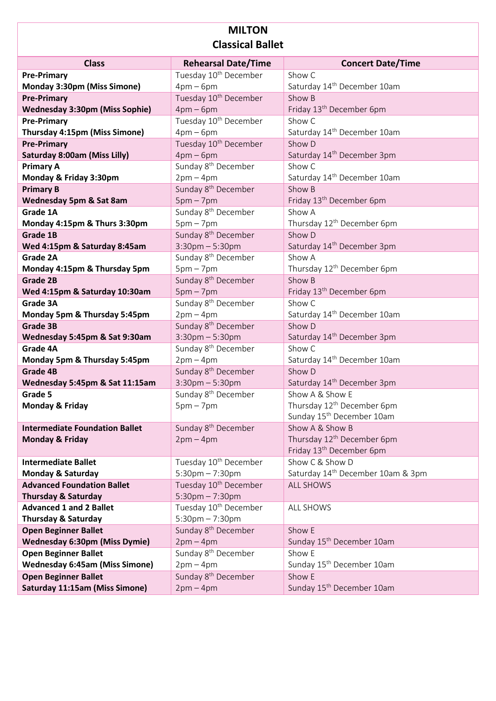## **MILTON Classical Ballet**

| <b>Class</b>                                                     | <b>Rehearsal Date/Time</b>        | <b>Concert Date/Time</b>                      |
|------------------------------------------------------------------|-----------------------------------|-----------------------------------------------|
| <b>Pre-Primary</b>                                               | Tuesday 10 <sup>th</sup> December | Show C                                        |
| Monday 3:30pm (Miss Simone)                                      | $4pm-6pm$                         | Saturday 14 <sup>th</sup> December 10am       |
| <b>Pre-Primary</b>                                               | Tuesday 10 <sup>th</sup> December | Show B                                        |
| <b>Wednesday 3:30pm (Miss Sophie)</b>                            | $4pm-6pm$                         | Friday 13 <sup>th</sup> December 6pm          |
|                                                                  |                                   |                                               |
| <b>Pre-Primary</b>                                               | Tuesday 10 <sup>th</sup> December | Show C                                        |
| Thursday 4:15pm (Miss Simone)                                    | $4pm-6pm$                         | Saturday 14th December 10am                   |
| <b>Pre-Primary</b>                                               | Tuesday 10 <sup>th</sup> December | Show D                                        |
| <b>Saturday 8:00am (Miss Lilly)</b>                              | $4pm-6pm$                         | Saturday 14 <sup>th</sup> December 3pm        |
| <b>Primary A</b>                                                 | Sunday 8 <sup>th</sup> December   | Show C                                        |
| Monday & Friday 3:30pm                                           | $2pm-4pm$                         | Saturday 14th December 10am                   |
| <b>Primary B</b>                                                 | Sunday 8 <sup>th</sup> December   | Show B                                        |
| Wednesday 5pm & Sat 8am                                          | $5pm - 7pm$                       | Friday 13 <sup>th</sup> December 6pm          |
| Grade 1A                                                         | Sunday 8 <sup>th</sup> December   | Show A                                        |
| Monday 4:15pm & Thurs 3:30pm                                     | $5pm - 7pm$                       | Thursday 12 <sup>th</sup> December 6pm        |
| Grade 1B                                                         | Sunday 8 <sup>th</sup> December   | Show D                                        |
| Wed 4:15pm & Saturday 8:45am                                     | $3:30$ pm $-5:30$ pm              | Saturday 14 <sup>th</sup> December 3pm        |
| Grade 2A                                                         | Sunday 8 <sup>th</sup> December   | Show A                                        |
| Monday 4:15pm & Thursday 5pm                                     | $5pm - 7pm$                       | Thursday 12 <sup>th</sup> December 6pm        |
| <b>Grade 2B</b>                                                  | Sunday 8 <sup>th</sup> December   | Show B                                        |
| Wed 4:15pm & Saturday 10:30am                                    | $5pm - 7pm$                       | Friday 13 <sup>th</sup> December 6pm          |
| Grade 3A                                                         | Sunday 8 <sup>th</sup> December   | Show C                                        |
| Monday 5pm & Thursday 5:45pm                                     | $2pm-4pm$                         | Saturday 14 <sup>th</sup> December 10am       |
| Grade 3B                                                         | Sunday 8 <sup>th</sup> December   | Show D                                        |
| Wednesday 5:45pm & Sat 9:30am                                    | $3:30$ pm $-5:30$ pm              | Saturday 14 <sup>th</sup> December 3pm        |
| Grade 4A                                                         | Sunday 8 <sup>th</sup> December   | Show C                                        |
| Monday 5pm & Thursday 5:45pm                                     | $2pm-4pm$                         | Saturday 14 <sup>th</sup> December 10am       |
| <b>Grade 4B</b>                                                  | Sunday 8 <sup>th</sup> December   | Show D                                        |
| Wednesday 5:45pm & Sat 11:15am                                   | $3:30$ pm $-5:30$ pm              | Saturday 14 <sup>th</sup> December 3pm        |
| Grade 5                                                          | Sunday 8 <sup>th</sup> December   | Show A & Show E                               |
| <b>Monday &amp; Friday</b>                                       | $5pm - 7pm$                       | Thursday 12 <sup>th</sup> December 6pm        |
|                                                                  |                                   | Sunday 15 <sup>th</sup> December 10am         |
| <b>Intermediate Foundation Ballet</b>                            | Sunday 8 <sup>th</sup> December   | Show A & Show B                               |
| <b>Monday &amp; Friday</b>                                       | $2pm-4pm$                         | Thursday 12 <sup>th</sup> December 6pm        |
|                                                                  |                                   | Friday 13 <sup>th</sup> December 6pm          |
| <b>Intermediate Ballet</b>                                       | Tuesday 10 <sup>th</sup> December | Show C & Show D                               |
| <b>Monday &amp; Saturday</b>                                     | $5:30$ pm $-7:30$ pm              | Saturday 14 <sup>th</sup> December 10am & 3pm |
| <b>Advanced Foundation Ballet</b>                                | Tuesday 10 <sup>th</sup> December | <b>ALL SHOWS</b>                              |
|                                                                  | $5:30$ pm $-7:30$ pm              |                                               |
| <b>Thursday &amp; Saturday</b><br><b>Advanced 1 and 2 Ballet</b> | Tuesday 10 <sup>th</sup> December |                                               |
|                                                                  |                                   | ALL SHOWS                                     |
| <b>Thursday &amp; Saturday</b>                                   | $5:30$ pm $-7:30$ pm              |                                               |
| <b>Open Beginner Ballet</b>                                      | Sunday 8 <sup>th</sup> December   | Show E                                        |
| <b>Wednesday 6:30pm (Miss Dymie)</b>                             | $2pm-4pm$                         | Sunday 15 <sup>th</sup> December 10am         |
| <b>Open Beginner Ballet</b>                                      | Sunday 8 <sup>th</sup> December   | Show E                                        |
| <b>Wednesday 6:45am (Miss Simone)</b>                            | $2pm-4pm$                         | Sunday 15 <sup>th</sup> December 10am         |
| <b>Open Beginner Ballet</b>                                      | Sunday 8 <sup>th</sup> December   | Show E                                        |
| Saturday 11:15am (Miss Simone)                                   | $2pm-4pm$                         | Sunday 15 <sup>th</sup> December 10am         |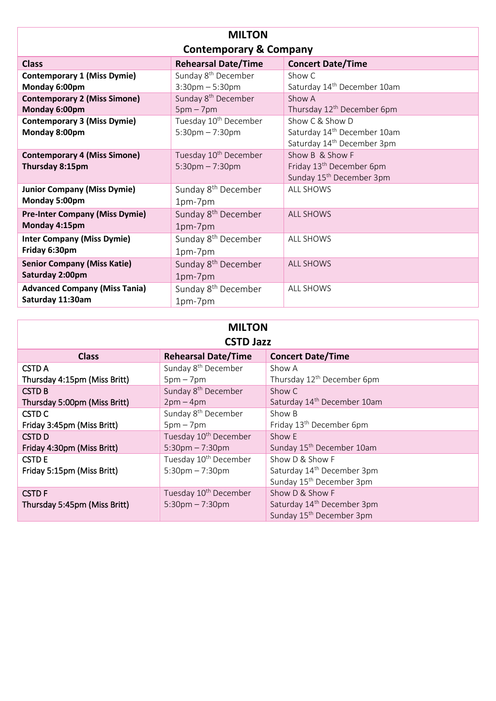| <b>MILTON</b>                                            |                                                            |                                                                                                      |
|----------------------------------------------------------|------------------------------------------------------------|------------------------------------------------------------------------------------------------------|
| <b>Contemporary &amp; Company</b>                        |                                                            |                                                                                                      |
| <b>Class</b>                                             | <b>Rehearsal Date/Time</b>                                 | <b>Concert Date/Time</b>                                                                             |
| <b>Contemporary 1 (Miss Dymie)</b><br>Monday 6:00pm      | Sunday 8 <sup>th</sup> December<br>$3:30$ pm $-5:30$ pm    | Show C<br>Saturday 14 <sup>th</sup> December 10am                                                    |
| <b>Contemporary 2 (Miss Simone)</b><br>Monday 6:00pm     | Sunday 8 <sup>th</sup> December<br>$5pm - 7pm$             | Show A<br>Thursday 12 <sup>th</sup> December 6pm                                                     |
| <b>Contemporary 3 (Miss Dymie)</b><br>Monday 8:00pm      | Tuesday 10 <sup>th</sup> December<br>$5:30$ pm $- 7:30$ pm | Show C & Show D<br>Saturday 14 <sup>th</sup> December 10am<br>Saturday 14 <sup>th</sup> December 3pm |
| <b>Contemporary 4 (Miss Simone)</b><br>Thursday 8:15pm   | Tuesday 10 <sup>th</sup> December<br>$5:30$ pm $-7:30$ pm  | Show B & Show F<br>Friday 13 <sup>th</sup> December 6pm<br>Sunday 15 <sup>th</sup> December 3pm      |
| <b>Junior Company (Miss Dymie)</b><br>Monday 5:00pm      | Sunday 8 <sup>th</sup> December<br>1pm-7pm                 | <b>ALL SHOWS</b>                                                                                     |
| <b>Pre-Inter Company (Miss Dymie)</b><br>Monday 4:15pm   | Sunday 8 <sup>th</sup> December<br>1pm-7pm                 | <b>ALL SHOWS</b>                                                                                     |
| <b>Inter Company (Miss Dymie)</b><br>Friday 6:30pm       | Sunday 8 <sup>th</sup> December<br>1pm-7pm                 | <b>ALL SHOWS</b>                                                                                     |
| <b>Senior Company (Miss Katie)</b><br>Saturday 2:00pm    | Sunday 8 <sup>th</sup> December<br>1pm-7pm                 | <b>ALL SHOWS</b>                                                                                     |
| <b>Advanced Company (Miss Tania)</b><br>Saturday 11:30am | Sunday 8 <sup>th</sup> December<br>1pm-7pm                 | <b>ALL SHOWS</b>                                                                                     |

|  | <b>MILTON</b>    |  |
|--|------------------|--|
|  | <b>CSTD Jazz</b> |  |

| <b>CSTD Jazz</b>             |                                   |                                         |
|------------------------------|-----------------------------------|-----------------------------------------|
| <b>Class</b>                 | <b>Rehearsal Date/Time</b>        | <b>Concert Date/Time</b>                |
| <b>CSTD A</b>                | Sunday 8 <sup>th</sup> December   | Show A                                  |
| Thursday 4:15pm (Miss Britt) | $5pm - 7pm$                       | Thursday 12 <sup>th</sup> December 6pm  |
| <b>CSTD B</b>                | Sunday 8 <sup>th</sup> December   | Show C                                  |
| Thursday 5:00pm (Miss Britt) | $2pm-4pm$                         | Saturday 14 <sup>th</sup> December 10am |
| CSTD <sub>C</sub>            | Sunday 8 <sup>th</sup> December   | Show B                                  |
| Friday 3:45pm (Miss Britt)   | $5pm - 7pm$                       | Friday 13 <sup>th</sup> December 6pm    |
| <b>CSTDD</b>                 | Tuesday 10 <sup>th</sup> December | Show E                                  |
| Friday 4:30pm (Miss Britt)   | $5:30$ pm $-7:30$ pm              | Sunday 15 <sup>th</sup> December 10am   |
| <b>CSTD E</b>                | Tuesday 10 <sup>th</sup> December | Show D & Show F                         |
| Friday 5:15pm (Miss Britt)   | $5:30$ pm $-7:30$ pm              | Saturday 14 <sup>th</sup> December 3pm  |
|                              |                                   | Sunday 15 <sup>th</sup> December 3pm    |
| <b>CSTDF</b>                 | Tuesday 10 <sup>th</sup> December | Show D & Show F                         |
| Thursday 5:45pm (Miss Britt) | $5:30$ pm $-7:30$ pm              | Saturday 14 <sup>th</sup> December 3pm  |
|                              |                                   | Sunday 15 <sup>th</sup> December 3pm    |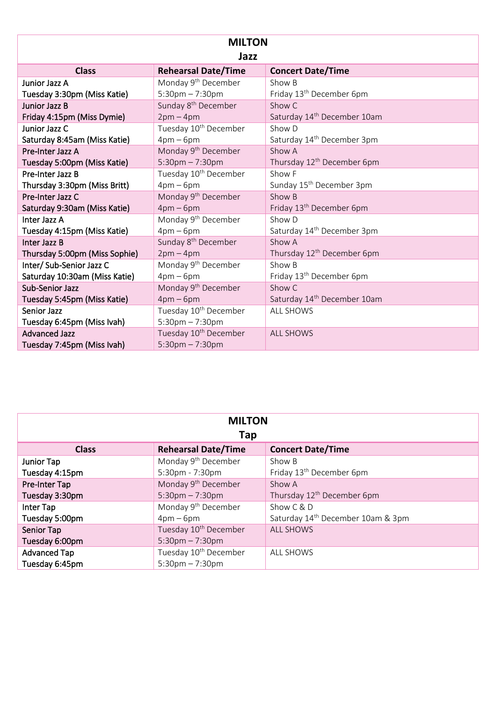| <b>MILTON</b><br>Jazz         |                                   |                                         |
|-------------------------------|-----------------------------------|-----------------------------------------|
|                               |                                   |                                         |
| <b>Class</b>                  | <b>Rehearsal Date/Time</b>        | <b>Concert Date/Time</b>                |
| Junior Jazz A                 | Monday 9 <sup>th</sup> December   | Show B                                  |
| Tuesday 3:30pm (Miss Katie)   | $5:30$ pm $-7:30$ pm              | Friday 13 <sup>th</sup> December 6pm    |
| Junior Jazz B                 | Sunday 8 <sup>th</sup> December   | Show C                                  |
| Friday 4:15pm (Miss Dymie)    | $2pm-4pm$                         | Saturday 14 <sup>th</sup> December 10am |
| Junior Jazz C                 | Tuesday 10 <sup>th</sup> December | Show D                                  |
| Saturday 8:45am (Miss Katie)  | $4pm-6pm$                         | Saturday 14 <sup>th</sup> December 3pm  |
| Pre-Inter Jazz A              | Monday 9 <sup>th</sup> December   | Show A                                  |
| Tuesday 5:00pm (Miss Katie)   | $5:30$ pm $-7:30$ pm              | Thursday 12 <sup>th</sup> December 6pm  |
| Pre-Inter Jazz B              | Tuesday 10 <sup>th</sup> December | Show F                                  |
| Thursday 3:30pm (Miss Britt)  | $4pm-6pm$                         | Sunday 15 <sup>th</sup> December 3pm    |
| Pre-Inter Jazz C              | Monday 9 <sup>th</sup> December   | Show B                                  |
| Saturday 9:30am (Miss Katie)  | $4pm-6pm$                         | Friday 13 <sup>th</sup> December 6pm    |
| Inter Jazz A                  | Monday 9 <sup>th</sup> December   | Show D                                  |
| Tuesday 4:15pm (Miss Katie)   | $4pm-6pm$                         | Saturday 14 <sup>th</sup> December 3pm  |
| Inter Jazz B                  | Sunday 8 <sup>th</sup> December   | Show A                                  |
| Thursday 5:00pm (Miss Sophie) | $2pm-4pm$                         | Thursday 12 <sup>th</sup> December 6pm  |
| Inter/ Sub-Senior Jazz C      | Monday 9 <sup>th</sup> December   | Show B                                  |
| Saturday 10:30am (Miss Katie) | $4pm-6pm$                         | Friday 13 <sup>th</sup> December 6pm    |
| Sub-Senior Jazz               | Monday 9 <sup>th</sup> December   | Show C                                  |
| Tuesday 5:45pm (Miss Katie)   | $4pm-6pm$                         | Saturday 14 <sup>th</sup> December 10am |
| <b>Senior Jazz</b>            | Tuesday 10 <sup>th</sup> December | <b>ALL SHOWS</b>                        |
| Tuesday 6:45pm (Miss Ivah)    | $5:30 \text{pm} - 7:30 \text{pm}$ |                                         |
| <b>Advanced Jazz</b>          | Tuesday 10 <sup>th</sup> December | <b>ALL SHOWS</b>                        |
| Tuesday 7:45pm (Miss Ivah)    | $5:30$ pm $-7:30$ pm              |                                         |

| <b>MILTON</b>  |                                   |                                               |
|----------------|-----------------------------------|-----------------------------------------------|
|                | Tap                               |                                               |
| <b>Class</b>   | <b>Rehearsal Date/Time</b>        | <b>Concert Date/Time</b>                      |
| Junior Tap     | Monday 9 <sup>th</sup> December   | Show B                                        |
| Tuesday 4:15pm | 5:30pm - 7:30pm                   | Friday 13 <sup>th</sup> December 6pm          |
| Pre-Inter Tap  | Monday 9 <sup>th</sup> December   | Show A                                        |
| Tuesday 3:30pm | $5:30 \text{pm} - 7:30 \text{pm}$ | Thursday 12 <sup>th</sup> December 6pm        |
| Inter Tap      | Monday 9 <sup>th</sup> December   | Show C & D                                    |
| Tuesday 5:00pm | $4pm-6pm$                         | Saturday 14 <sup>th</sup> December 10am & 3pm |
| Senior Tap     | Tuesday 10 <sup>th</sup> December | <b>ALL SHOWS</b>                              |
| Tuesday 6:00pm | $5:30 \text{pm} - 7:30 \text{pm}$ |                                               |
| Advanced Tap   | Tuesday 10 <sup>th</sup> December | <b>ALL SHOWS</b>                              |
| Tuesday 6:45pm | $5:30 \text{pm} - 7:30 \text{pm}$ |                                               |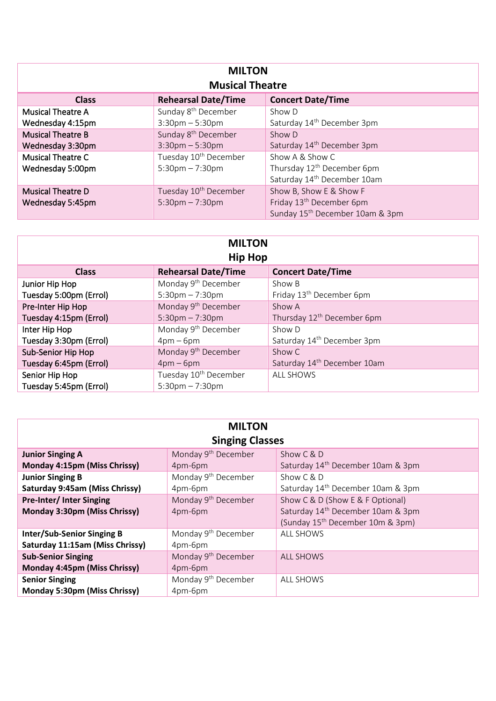| <b>MILTON</b><br><b>Musical Theatre</b> |                                   |                                             |
|-----------------------------------------|-----------------------------------|---------------------------------------------|
| <b>Class</b>                            | <b>Rehearsal Date/Time</b>        | <b>Concert Date/Time</b>                    |
| <b>Musical Theatre A</b>                | Sunday 8 <sup>th</sup> December   | Show D                                      |
| Wednesday 4:15pm                        | $3:30$ pm $-5:30$ pm              | Saturday 14 <sup>th</sup> December 3pm      |
| <b>Musical Theatre B</b>                | Sunday 8 <sup>th</sup> December   | Show D                                      |
| Wednesday 3:30pm                        | $3:30$ pm $-5:30$ pm              | Saturday 14 <sup>th</sup> December 3pm      |
| Musical Theatre C                       | Tuesday 10 <sup>th</sup> December | Show A & Show C                             |
| Wednesday 5:00pm                        | $5:30$ pm $-7:30$ pm              | Thursday 12 <sup>th</sup> December 6pm      |
|                                         |                                   | Saturday 14 <sup>th</sup> December 10am     |
| <b>Musical Theatre D</b>                | Tuesday 10 <sup>th</sup> December | Show B, Show E & Show F                     |
| Wednesday 5:45pm                        | $5:30$ pm $-7:30$ pm              | Friday 13 <sup>th</sup> December 6pm        |
|                                         |                                   | Sunday 15 <sup>th</sup> December 10am & 3pm |

| <b>MILTON</b><br><b>Hip Hop</b> |                                   |                                         |
|---------------------------------|-----------------------------------|-----------------------------------------|
| <b>Class</b>                    | <b>Rehearsal Date/Time</b>        | <b>Concert Date/Time</b>                |
| Junior Hip Hop                  | Monday 9 <sup>th</sup> December   | Show B                                  |
| Tuesday 5:00pm (Errol)          | $5:30 \text{pm} - 7:30 \text{pm}$ | Friday 13 <sup>th</sup> December 6pm    |
| Pre-Inter Hip Hop               | Monday 9 <sup>th</sup> December   | Show A                                  |
| Tuesday 4:15pm (Errol)          | $5:30$ pm $-7:30$ pm              | Thursday 12 <sup>th</sup> December 6pm  |
| Inter Hip Hop                   | Monday 9 <sup>th</sup> December   | Show D                                  |
| Tuesday 3:30pm (Errol)          | $4pm-6pm$                         | Saturday 14 <sup>th</sup> December 3pm  |
| Sub-Senior Hip Hop              | Monday 9 <sup>th</sup> December   | Show C                                  |
| Tuesday 6:45pm (Errol)          | $4pm-6pm$                         | Saturday 14 <sup>th</sup> December 10am |
| Senior Hip Hop                  | Tuesday 10 <sup>th</sup> December | <b>ALL SHOWS</b>                        |
| Tuesday 5:45pm (Errol)          | $5:30$ pm $-7:30$ pm              |                                         |

| <b>MILTON</b><br><b>Singing Classes</b>                              |                                            |                                                                                                                                   |
|----------------------------------------------------------------------|--------------------------------------------|-----------------------------------------------------------------------------------------------------------------------------------|
| <b>Junior Singing A</b><br>Monday 4:15pm (Miss Chrissy)              | Monday 9 <sup>th</sup> December<br>4pm-6pm | Show $C & D$<br>Saturday 14 <sup>th</sup> December 10am & 3pm                                                                     |
| <b>Junior Singing B</b><br>Saturday 9:45am (Miss Chrissy)            | Monday 9 <sup>th</sup> December<br>4pm-6pm | Show $C & D$<br>Saturday 14 <sup>th</sup> December 10am & 3pm                                                                     |
| <b>Pre-Inter/Inter Singing</b><br>Monday 3:30pm (Miss Chrissy)       | Monday 9 <sup>th</sup> December<br>4pm-6pm | Show C & D (Show E & F Optional)<br>Saturday 14 <sup>th</sup> December 10am & 3pm<br>(Sunday 15 <sup>th</sup> December 10m & 3pm) |
| <b>Inter/Sub-Senior Singing B</b><br>Saturday 11:15am (Miss Chrissy) | Monday 9 <sup>th</sup> December<br>4pm-6pm | <b>ALL SHOWS</b>                                                                                                                  |
| <b>Sub-Senior Singing</b><br>Monday 4:45pm (Miss Chrissy)            | Monday 9 <sup>th</sup> December<br>4pm-6pm | <b>ALL SHOWS</b>                                                                                                                  |
| <b>Senior Singing</b><br>Monday 5:30pm (Miss Chrissy)                | Monday 9 <sup>th</sup> December<br>4pm-6pm | <b>ALL SHOWS</b>                                                                                                                  |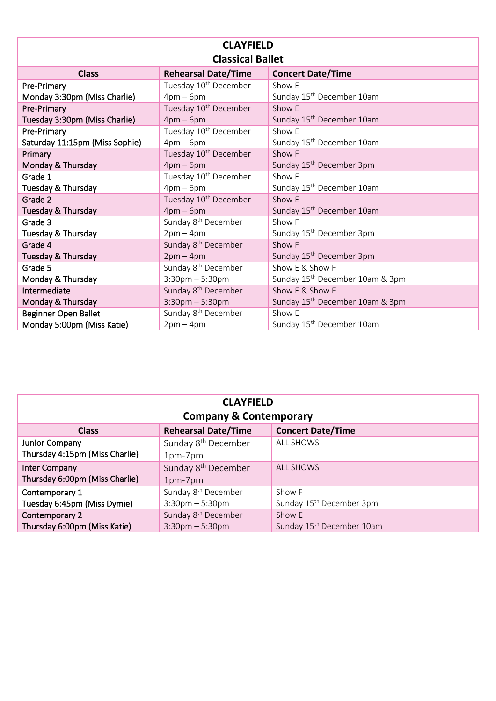| <b>CLAYFIELD</b>               |                                   |                                             |
|--------------------------------|-----------------------------------|---------------------------------------------|
| <b>Classical Ballet</b>        |                                   |                                             |
| <b>Class</b>                   | <b>Rehearsal Date/Time</b>        | <b>Concert Date/Time</b>                    |
| Pre-Primary                    | Tuesday 10 <sup>th</sup> December | Show E                                      |
| Monday 3:30pm (Miss Charlie)   | $4pm-6pm$                         | Sunday 15 <sup>th</sup> December 10am       |
| Pre-Primary                    | Tuesday 10 <sup>th</sup> December | Show E                                      |
| Tuesday 3:30pm (Miss Charlie)  | $4pm-6pm$                         | Sunday 15 <sup>th</sup> December 10am       |
| Pre-Primary                    | Tuesday 10 <sup>th</sup> December | Show E                                      |
| Saturday 11:15pm (Miss Sophie) | $4pm-6pm$                         | Sunday 15 <sup>th</sup> December 10am       |
| Primary                        | Tuesday 10 <sup>th</sup> December | Show F                                      |
| Monday & Thursday              | $4pm-6pm$                         | Sunday 15 <sup>th</sup> December 3pm        |
| Grade 1                        | Tuesday 10 <sup>th</sup> December | Show E                                      |
| Tuesday & Thursday             | $4pm-6pm$                         | Sunday 15 <sup>th</sup> December 10am       |
| Grade 2                        | Tuesday 10 <sup>th</sup> December | Show E                                      |
| Tuesday & Thursday             | $4pm-6pm$                         | Sunday 15 <sup>th</sup> December 10am       |
| Grade 3                        | Sunday 8 <sup>th</sup> December   | Show F                                      |
| Tuesday & Thursday             | $2pm-4pm$                         | Sunday 15 <sup>th</sup> December 3pm        |
| Grade 4                        | Sunday 8 <sup>th</sup> December   | Show F                                      |
| Tuesday & Thursday             | $2pm-4pm$                         | Sunday 15 <sup>th</sup> December 3pm        |
| Grade 5                        | Sunday 8 <sup>th</sup> December   | Show E & Show F                             |
| Monday & Thursday              | $3:30$ pm $-5:30$ pm              | Sunday 15 <sup>th</sup> December 10am & 3pm |
| Intermediate                   | Sunday 8 <sup>th</sup> December   | Show E & Show F                             |
| Monday & Thursday              | $3:30$ pm $-5:30$ pm              | Sunday 15 <sup>th</sup> December 10am & 3pm |
| <b>Beginner Open Ballet</b>    | Sunday 8 <sup>th</sup> December   | Show E                                      |
| Monday 5:00pm (Miss Katie)     | $2pm-4pm$                         | Sunday 15 <sup>th</sup> December 10am       |

| <b>CLAYFIELD</b><br><b>Company &amp; Contemporary</b> |                                                         |                                                 |
|-------------------------------------------------------|---------------------------------------------------------|-------------------------------------------------|
| <b>Class</b>                                          | <b>Rehearsal Date/Time</b>                              | <b>Concert Date/Time</b>                        |
| Junior Company<br>Thursday 4:15pm (Miss Charlie)      | Sunday 8 <sup>th</sup> December<br>1pm-7pm              | <b>ALL SHOWS</b>                                |
| Inter Company<br>Thursday 6:00pm (Miss Charlie)       | Sunday 8 <sup>th</sup> December<br>1pm-7pm              | <b>ALL SHOWS</b>                                |
| Contemporary 1<br>Tuesday 6:45pm (Miss Dymie)         | Sunday 8 <sup>th</sup> December<br>$3:30$ pm $-5:30$ pm | Show F<br>Sunday 15 <sup>th</sup> December 3pm  |
| Contemporary 2<br>Thursday 6:00pm (Miss Katie)        | Sunday 8 <sup>th</sup> December<br>$3:30$ pm $-5:30$ pm | Show E<br>Sunday 15 <sup>th</sup> December 10am |